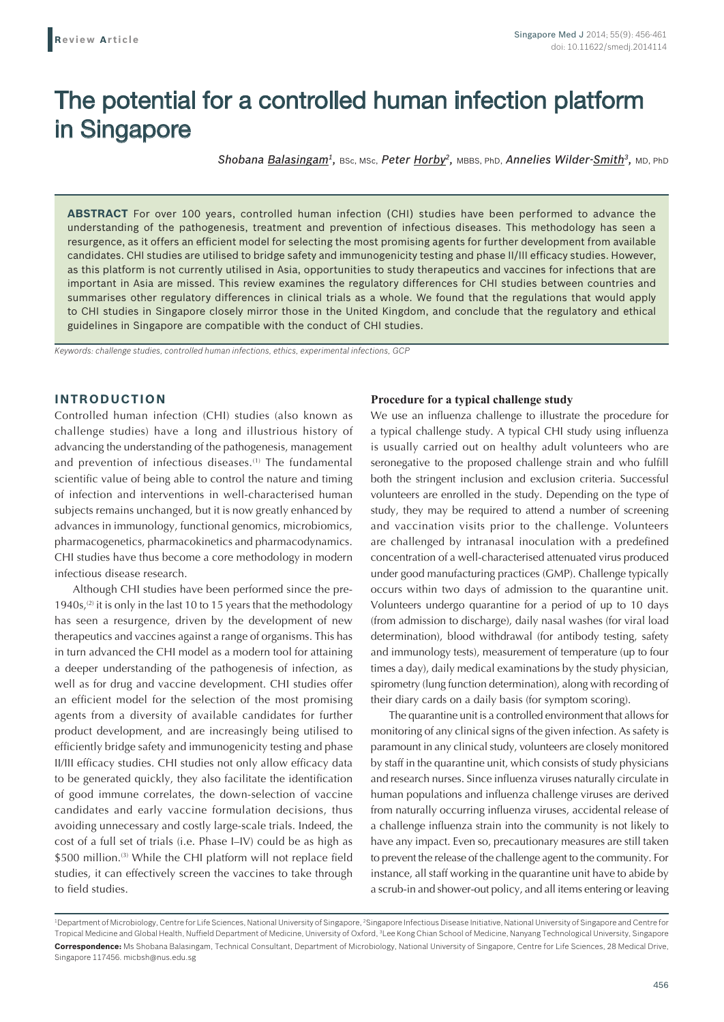# The potential for a controlled human infection platform in Singapore

*Shobana Balasingam1,* BSc, MSc, *Peter Horby2,* MBBS, PhD, *Annelies Wilder-Smith3,* MD, PhD

**ABSTRACT** For over 100 years, controlled human infection (CHI) studies have been performed to advance the understanding of the pathogenesis, treatment and prevention of infectious diseases. This methodology has seen a resurgence, as it offers an efficient model for selecting the most promising agents for further development from available candidates. CHI studies are utilised to bridge safety and immunogenicity testing and phase II/III efficacy studies. However, as this platform is not currently utilised in Asia, opportunities to study therapeutics and vaccines for infections that are important in Asia are missed. This review examines the regulatory differences for CHI studies between countries and summarises other regulatory differences in clinical trials as a whole. We found that the regulations that would apply to CHI studies in Singapore closely mirror those in the United Kingdom, and conclude that the regulatory and ethical guidelines in Singapore are compatible with the conduct of CHI studies.

*Keywords: challenge studies, controlled human infections, ethics, experimental infections, GCP*

## **INTRODUCTION**

Controlled human infection (CHI) studies (also known as challenge studies) have a long and illustrious history of advancing the understanding of the pathogenesis, management and prevention of infectious diseases.<sup>(1)</sup> The fundamental scientific value of being able to control the nature and timing of infection and interventions in well-characterised human subjects remains unchanged, but it is now greatly enhanced by advances in immunology, functional genomics, microbiomics, pharmacogenetics, pharmacokinetics and pharmacodynamics. CHI studies have thus become a core methodology in modern infectious disease research.

Although CHI studies have been performed since the pre-1940s, $(2)$  it is only in the last 10 to 15 years that the methodology has seen a resurgence, driven by the development of new therapeutics and vaccines against a range of organisms. This has in turn advanced the CHI model as a modern tool for attaining a deeper understanding of the pathogenesis of infection, as well as for drug and vaccine development. CHI studies offer an efficient model for the selection of the most promising agents from a diversity of available candidates for further product development, and are increasingly being utilised to efficiently bridge safety and immunogenicity testing and phase II/III efficacy studies. CHI studies not only allow efficacy data to be generated quickly, they also facilitate the identification of good immune correlates, the down-selection of vaccine candidates and early vaccine formulation decisions, thus avoiding unnecessary and costly large-scale trials. Indeed, the cost of a full set of trials (i.e. Phase I–IV) could be as high as \$500 million.<sup>(3)</sup> While the CHI platform will not replace field studies, it can effectively screen the vaccines to take through to field studies.

### **Procedure for a typical challenge study**

We use an influenza challenge to illustrate the procedure for a typical challenge study. A typical CHI study using influenza is usually carried out on healthy adult volunteers who are seronegative to the proposed challenge strain and who fulfill both the stringent inclusion and exclusion criteria. Successful volunteers are enrolled in the study. Depending on the type of study, they may be required to attend a number of screening and vaccination visits prior to the challenge. Volunteers are challenged by intranasal inoculation with a predefined concentration of a well-characterised attenuated virus produced under good manufacturing practices (GMP). Challenge typically occurs within two days of admission to the quarantine unit. Volunteers undergo quarantine for a period of up to 10 days (from admission to discharge), daily nasal washes (for viral load determination), blood withdrawal (for antibody testing, safety and immunology tests), measurement of temperature (up to four times a day), daily medical examinations by the study physician, spirometry (lung function determination), along with recording of their diary cards on a daily basis (for symptom scoring).

The quarantine unit is a controlled environment that allows for monitoring of any clinical signs of the given infection. As safety is paramount in any clinical study, volunteers are closely monitored by staff in the quarantine unit, which consists of study physicians and research nurses. Since influenza viruses naturally circulate in human populations and influenza challenge viruses are derived from naturally occurring influenza viruses, accidental release of a challenge influenza strain into the community is not likely to have any impact. Even so, precautionary measures are still taken to prevent the release of the challenge agent to the community. For instance, all staff working in the quarantine unit have to abide by a scrub-in and shower-out policy, and all items entering or leaving

<sup>&</sup>lt;sup>1</sup>Department of Microbiology, Centre for Life Sciences, National University of Singapore, <sup>2</sup>Singapore Infectious Disease Initiative, National University of Singapore and Centre for Tropical Medicine and Global Health, Nuffield Department of Medicine, University of Oxford, <sup>3</sup>Lee Kong Chian School of Medicine, Nanyang Technological University, Singapore **Correspondence:** Ms Shobana Balasingam, Technical Consultant, Department of Microbiology, National University of Singapore, Centre for Life Sciences, 28 Medical Drive, Singapore 117456. micbsh@nus.edu.sg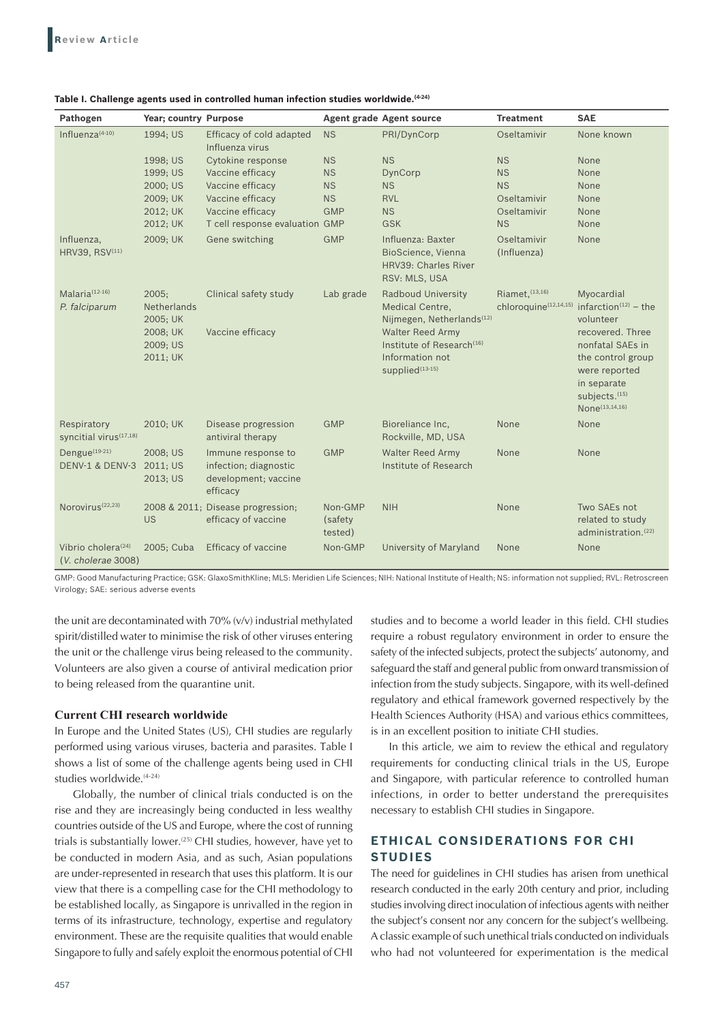| Pathogen                                             | Year; country Purpose                   |                                                                                 |                               | <b>Agent grade Agent source</b>                                                                           | <b>Treatment</b>                                     | <b>SAE</b>                                                                                                                                           |
|------------------------------------------------------|-----------------------------------------|---------------------------------------------------------------------------------|-------------------------------|-----------------------------------------------------------------------------------------------------------|------------------------------------------------------|------------------------------------------------------------------------------------------------------------------------------------------------------|
| Influenza $(4-10)$                                   | 1994; US                                | Efficacy of cold adapted<br>Influenza virus                                     | <b>NS</b>                     | PRI/DynCorp                                                                                               | Oseltamivir                                          | None known                                                                                                                                           |
|                                                      | 1998; US                                | Cytokine response                                                               | <b>NS</b>                     | <b>NS</b>                                                                                                 | <b>NS</b>                                            | None                                                                                                                                                 |
|                                                      | 1999; US                                | Vaccine efficacy                                                                | <b>NS</b>                     | DynCorp                                                                                                   | <b>NS</b>                                            | None                                                                                                                                                 |
|                                                      | 2000; US                                | Vaccine efficacy                                                                | <b>NS</b>                     | <b>NS</b>                                                                                                 | <b>NS</b>                                            | None                                                                                                                                                 |
|                                                      | 2009; UK                                | Vaccine efficacy                                                                | <b>NS</b>                     | <b>RVL</b>                                                                                                | Oseltamivir                                          | None                                                                                                                                                 |
|                                                      | 2012; UK                                | Vaccine efficacy                                                                | <b>GMP</b>                    | <b>NS</b>                                                                                                 | Oseltamivir                                          | None                                                                                                                                                 |
|                                                      | 2012; UK                                | T cell response evaluation GMP                                                  |                               | <b>GSK</b>                                                                                                | <b>NS</b>                                            | None                                                                                                                                                 |
| Influenza,<br>HRV39, RSV(11)                         | 2009; UK                                | Gene switching                                                                  | <b>GMP</b>                    | Influenza: Baxter<br>BioScience, Vienna<br>HRV39: Charles River<br>RSV: MLS, USA                          | Oseltamivir<br>(Influenza)                           | None                                                                                                                                                 |
| Malaria <sup>(12-16)</sup><br>P. falciparum          | 2005:<br><b>Netherlands</b><br>2005; UK | Clinical safety study                                                           | Lab grade                     | <b>Radboud University</b><br>Medical Centre,<br>Nijmegen, Netherlands <sup>(12)</sup>                     | Riamet, (13,16)<br>chloroquine <sup>(12,14,15)</sup> | Myocardial<br>infarction $(12)$ – the<br>volunteer                                                                                                   |
|                                                      | 2008; UK<br>2009; US<br>2011; UK        | Vaccine efficacy                                                                |                               | <b>Walter Reed Army</b><br>Institute of Research <sup>(16)</sup><br>Information not<br>supplied $(13-15)$ |                                                      | recovered. Three<br>nonfatal SAEs in<br>the control group<br>were reported<br>in separate<br>subjects. <sup>(15)</sup><br>None <sup>(13,14,16)</sup> |
| Respiratory<br>syncitial virus <sup>(17,18)</sup>    | 2010; UK                                | Disease progression<br>antiviral therapy                                        | <b>GMP</b>                    | Bioreliance Inc.<br>Rockville, MD, USA                                                                    | None                                                 | None                                                                                                                                                 |
| Dengue <sup>(19-21)</sup><br>DENV-1 & DENV-3         | 2008; US<br>2011; US<br>2013; US        | Immune response to<br>infection; diagnostic<br>development; vaccine<br>efficacy | <b>GMP</b>                    | <b>Walter Reed Army</b><br>Institute of Research                                                          | None                                                 | None                                                                                                                                                 |
| Norovirus <sup>(22,23)</sup>                         | US                                      | 2008 & 2011; Disease progression;<br>efficacy of vaccine                        | Non-GMP<br>(safety<br>tested) | <b>NIH</b>                                                                                                | None                                                 | Two SAEs not<br>related to study<br>administration. <sup>(22)</sup>                                                                                  |
| Vibrio cholera <sup>(24)</sup><br>(V. cholerae 3008) | 2005; Cuba                              | Efficacy of vaccine                                                             | Non-GMP                       | University of Maryland                                                                                    | None                                                 | None                                                                                                                                                 |

#### **Table I. Challenge agents used in controlled human infection studies worldwide.(4‑24)**

GMP: Good Manufacturing Practice; GSK: GlaxoSmithKline; MLS: Meridien Life Sciences; NIH: National Institute of Health; NS: information not supplied; RVL: Retroscreen Virology; SAE: serious adverse events

the unit are decontaminated with 70% (v/v) industrial methylated spirit/distilled water to minimise the risk of other viruses entering the unit or the challenge virus being released to the community. Volunteers are also given a course of antiviral medication prior to being released from the quarantine unit.

#### **Current CHI research worldwide**

In Europe and the United States (US), CHI studies are regularly performed using various viruses, bacteria and parasites. Table I shows a list of some of the challenge agents being used in CHI studies worldwide.<sup>(4-24)</sup>

Globally, the number of clinical trials conducted is on the rise and they are increasingly being conducted in less wealthy countries outside of the US and Europe, where the cost of running trials is substantially lower.(25) CHI studies, however, have yet to be conducted in modern Asia, and as such, Asian populations are under-represented in research that uses this platform. It is our view that there is a compelling case for the CHI methodology to be established locally, as Singapore is unrivalled in the region in terms of its infrastructure, technology, expertise and regulatory environment. These are the requisite qualities that would enable Singapore to fully and safely exploit the enormous potential of CHI studies and to become a world leader in this field. CHI studies require a robust regulatory environment in order to ensure the safety of the infected subjects, protect the subjects' autonomy, and safeguard the staff and general public from onward transmission of infection from the study subjects. Singapore, with its well-defined regulatory and ethical framework governed respectively by the Health Sciences Authority (HSA) and various ethics committees, is in an excellent position to initiate CHI studies.

In this article, we aim to review the ethical and regulatory requirements for conducting clinical trials in the US, Europe and Singapore, with particular reference to controlled human infections, in order to better understand the prerequisites necessary to establish CHI studies in Singapore.

# **ETHICAL CONSIDERATIONS FOR CHI STUDIES**

The need for guidelines in CHI studies has arisen from unethical research conducted in the early 20th century and prior, including studies involving direct inoculation of infectious agents with neither the subject's consent nor any concern for the subject's wellbeing. A classic example of such unethical trials conducted on individuals who had not volunteered for experimentation is the medical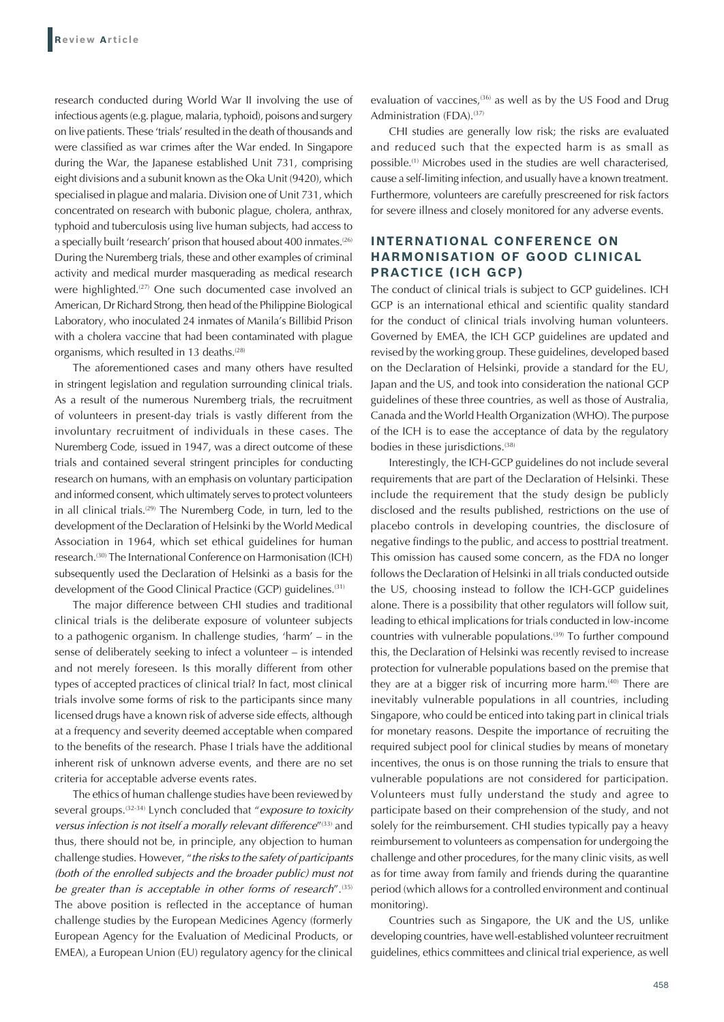research conducted during World War II involving the use of infectious agents (e.g. plague, malaria, typhoid), poisons and surgery on live patients. These 'trials' resulted in the death of thousands and were classified as war crimes after the War ended. In Singapore during the War, the Japanese established Unit 731, comprising eight divisions and a subunit known as the Oka Unit (9420), which specialised in plague and malaria. Division one of Unit 731, which concentrated on research with bubonic plague, cholera, anthrax, typhoid and tuberculosis using live human subjects, had access to a specially built 'research' prison that housed about 400 inmates.<sup>(26)</sup> During the Nuremberg trials, these and other examples of criminal activity and medical murder masquerading as medical research were highlighted.<sup>(27)</sup> One such documented case involved an American, Dr Richard Strong, then head of the Philippine Biological Laboratory, who inoculated 24 inmates of Manila's Billibid Prison with a cholera vaccine that had been contaminated with plague organisms, which resulted in 13 deaths.<sup>(28)</sup>

The aforementioned cases and many others have resulted in stringent legislation and regulation surrounding clinical trials. As a result of the numerous Nuremberg trials, the recruitment of volunteers in present-day trials is vastly different from the involuntary recruitment of individuals in these cases. The Nuremberg Code, issued in 1947, was a direct outcome of these trials and contained several stringent principles for conducting research on humans, with an emphasis on voluntary participation and informed consent, which ultimately serves to protect volunteers in all clinical trials.<sup>(29)</sup> The Nuremberg Code, in turn, led to the development of the Declaration of Helsinki by the World Medical Association in 1964, which set ethical guidelines for human research.<sup>(30)</sup> The International Conference on Harmonisation (ICH) subsequently used the Declaration of Helsinki as a basis for the development of the Good Clinical Practice (GCP) guidelines.<sup>(31)</sup>

The major difference between CHI studies and traditional clinical trials is the deliberate exposure of volunteer subjects to a pathogenic organism. In challenge studies, 'harm' – in the sense of deliberately seeking to infect a volunteer – is intended and not merely foreseen. Is this morally different from other types of accepted practices of clinical trial? In fact, most clinical trials involve some forms of risk to the participants since many licensed drugs have a known risk of adverse side effects, although at a frequency and severity deemed acceptable when compared to the benefits of the research. Phase I trials have the additional inherent risk of unknown adverse events, and there are no set criteria for acceptable adverse events rates.

The ethics of human challenge studies have been reviewed by several groups.(32-34) Lynch concluded that "*exposure to toxicity*  versus infection is not itself a morally relevant difference"<sup>(33)</sup> and thus, there should not be, in principle, any objection to human challenge studies. However, "*the risks to the safety of participants (both of the enrolled subjects and the broader public) must not be greater than is acceptable in other forms of research*".(35) The above position is reflected in the acceptance of human challenge studies by the European Medicines Agency (formerly European Agency for the Evaluation of Medicinal Products, or EMEA), a European Union (EU) regulatory agency for the clinical evaluation of vaccines,<sup>(36)</sup> as well as by the US Food and Drug Administration (FDA).<sup>(37)</sup>

CHI studies are generally low risk; the risks are evaluated and reduced such that the expected harm is as small as possible.(1) Microbes used in the studies are well characterised, cause a self-limiting infection, and usually have a known treatment. Furthermore, volunteers are carefully prescreened for risk factors for severe illness and closely monitored for any adverse events.

## **INTERNATIONAL CONFERENCE ON HARMONISATION OF GOOD CLINICAL PRACTICE (ICH GCP)**

The conduct of clinical trials is subject to GCP guidelines. ICH GCP is an international ethical and scientific quality standard for the conduct of clinical trials involving human volunteers. Governed by EMEA, the ICH GCP guidelines are updated and revised by the working group. These guidelines, developed based on the Declaration of Helsinki, provide a standard for the EU, Japan and the US, and took into consideration the national GCP guidelines of these three countries, as well as those of Australia, Canada and the World Health Organization (WHO). The purpose of the ICH is to ease the acceptance of data by the regulatory bodies in these jurisdictions.<sup>(38)</sup>

Interestingly, the ICH-GCP guidelines do not include several requirements that are part of the Declaration of Helsinki. These include the requirement that the study design be publicly disclosed and the results published, restrictions on the use of placebo controls in developing countries, the disclosure of negative findings to the public, and access to posttrial treatment. This omission has caused some concern, as the FDA no longer follows the Declaration of Helsinki in all trials conducted outside the US, choosing instead to follow the ICH-GCP guidelines alone. There is a possibility that other regulators will follow suit, leading to ethical implications for trials conducted in low-income countries with vulnerable populations.<sup>(39)</sup> To further compound this, the Declaration of Helsinki was recently revised to increase protection for vulnerable populations based on the premise that they are at a bigger risk of incurring more harm.<sup>(40)</sup> There are inevitably vulnerable populations in all countries, including Singapore, who could be enticed into taking part in clinical trials for monetary reasons. Despite the importance of recruiting the required subject pool for clinical studies by means of monetary incentives, the onus is on those running the trials to ensure that vulnerable populations are not considered for participation. Volunteers must fully understand the study and agree to participate based on their comprehension of the study, and not solely for the reimbursement. CHI studies typically pay a heavy reimbursement to volunteers as compensation for undergoing the challenge and other procedures, for the many clinic visits, as well as for time away from family and friends during the quarantine period (which allows for a controlled environment and continual monitoring).

Countries such as Singapore, the UK and the US, unlike developing countries, have well-established volunteer recruitment guidelines, ethics committees and clinical trial experience, as well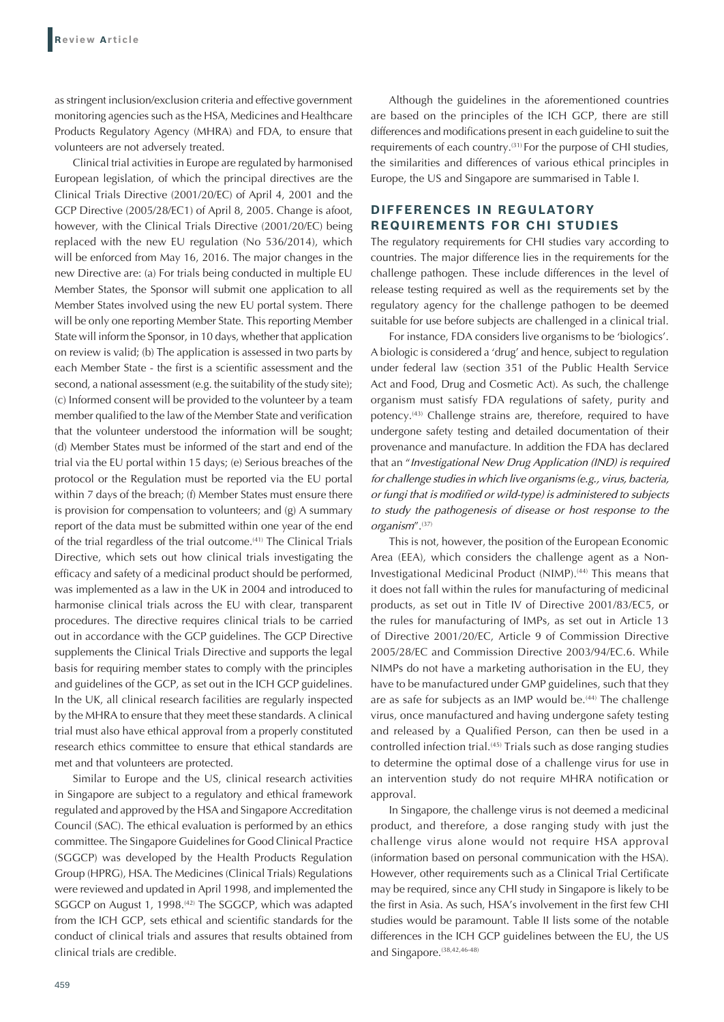as stringent inclusion/exclusion criteria and effective government monitoring agencies such as the HSA, Medicines and Healthcare Products Regulatory Agency (MHRA) and FDA, to ensure that volunteers are not adversely treated.

Clinical trial activities in Europe are regulated by harmonised European legislation, of which the principal directives are the Clinical Trials Directive (2001/20/EC) of April 4, 2001 and the GCP Directive (2005/28/EC1) of April 8, 2005. Change is afoot, however, with the Clinical Trials Directive (2001/20/EC) being replaced with the new EU regulation (No 536/2014), which will be enforced from May 16, 2016. The major changes in the new Directive are: (a) For trials being conducted in multiple EU Member States, the Sponsor will submit one application to all Member States involved using the new EU portal system. There will be only one reporting Member State. This reporting Member State will inform the Sponsor, in 10 days, whether that application on review is valid; (b) The application is assessed in two parts by each Member State - the first is a scientific assessment and the second, a national assessment (e.g. the suitability of the study site); (c) Informed consent will be provided to the volunteer by a team member qualified to the law of the Member State and verification that the volunteer understood the information will be sought; (d) Member States must be informed of the start and end of the trial via the EU portal within 15 days; (e) Serious breaches of the protocol or the Regulation must be reported via the EU portal within 7 days of the breach; (f) Member States must ensure there is provision for compensation to volunteers; and (g) A summary report of the data must be submitted within one year of the end of the trial regardless of the trial outcome.(41) The Clinical Trials Directive, which sets out how clinical trials investigating the efficacy and safety of a medicinal product should be performed, was implemented as a law in the UK in 2004 and introduced to harmonise clinical trials across the EU with clear, transparent procedures. The directive requires clinical trials to be carried out in accordance with the GCP guidelines. The GCP Directive supplements the Clinical Trials Directive and supports the legal basis for requiring member states to comply with the principles and guidelines of the GCP, as set out in the ICH GCP guidelines. In the UK, all clinical research facilities are regularly inspected by the MHRA to ensure that they meet these standards. A clinical trial must also have ethical approval from a properly constituted research ethics committee to ensure that ethical standards are met and that volunteers are protected.

Similar to Europe and the US, clinical research activities in Singapore are subject to a regulatory and ethical framework regulated and approved by the HSA and Singapore Accreditation Council (SAC). The ethical evaluation is performed by an ethics committee. The Singapore Guidelines for Good Clinical Practice (SGGCP) was developed by the Health Products Regulation Group (HPRG), HSA. The Medicines (Clinical Trials) Regulations were reviewed and updated in April 1998, and implemented the SGGCP on August 1, 1998.<sup>(42)</sup> The SGGCP, which was adapted from the ICH GCP, sets ethical and scientific standards for the conduct of clinical trials and assures that results obtained from clinical trials are credible.

Although the guidelines in the aforementioned countries are based on the principles of the ICH GCP, there are still differences and modifications present in each guideline to suit the requirements of each country.<sup>(31)</sup> For the purpose of CHI studies, the similarities and differences of various ethical principles in Europe, the US and Singapore are summarised in Table I.

## **DIFFERENCES IN REGULATORY REQUIREMENTS FOR CHI STUDIES**

The regulatory requirements for CHI studies vary according to countries. The major difference lies in the requirements for the challenge pathogen. These include differences in the level of release testing required as well as the requirements set by the regulatory agency for the challenge pathogen to be deemed suitable for use before subjects are challenged in a clinical trial.

For instance, FDA considers live organisms to be 'biologics'. A biologic is considered a 'drug' and hence, subject to regulation under federal law (section 351 of the Public Health Service Act and Food, Drug and Cosmetic Act). As such, the challenge organism must satisfy FDA regulations of safety, purity and potency.<sup>(43)</sup> Challenge strains are, therefore, required to have undergone safety testing and detailed documentation of their provenance and manufacture. In addition the FDA has declared that an "*Investigational New Drug Application (IND) is required for challenge studies in which live organisms (e.g., virus, bacteria, or fungi that is modified or wild-type) is administered to subjects to study the pathogenesis of disease or host response to the organism*".(37)

This is not, however, the position of the European Economic Area (EEA), which considers the challenge agent as a Non-Investigational Medicinal Product (NIMP).<sup>(44)</sup> This means that it does not fall within the rules for manufacturing of medicinal products, as set out in Title IV of Directive 2001/83/EC5, or the rules for manufacturing of IMPs, as set out in Article 13 of Directive 2001/20/EC, Article 9 of Commission Directive 2005/28/EC and Commission Directive 2003/94/EC.6. While NIMPs do not have a marketing authorisation in the EU, they have to be manufactured under GMP guidelines, such that they are as safe for subjects as an IMP would be.<sup>(44)</sup> The challenge virus, once manufactured and having undergone safety testing and released by a Qualified Person, can then be used in a controlled infection trial.<sup>(45)</sup> Trials such as dose ranging studies to determine the optimal dose of a challenge virus for use in an intervention study do not require MHRA notification or approval.

In Singapore, the challenge virus is not deemed a medicinal product, and therefore, a dose ranging study with just the challenge virus alone would not require HSA approval (information based on personal communication with the HSA). However, other requirements such as a Clinical Trial Certificate may be required, since any CHI study in Singapore is likely to be the first in Asia. As such, HSA's involvement in the first few CHI studies would be paramount. Table II lists some of the notable differences in the ICH GCP guidelines between the EU, the US and Singapore.<sup>(38,42,46-48)</sup>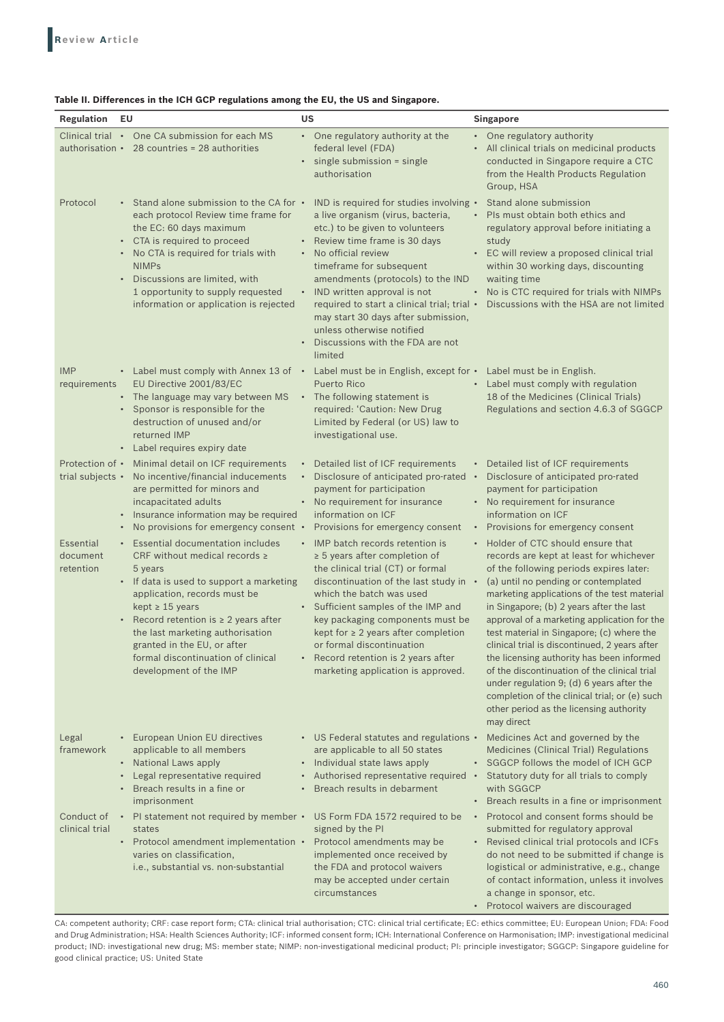| Table II. Differences in the ICH GCP regulations among the EU, the US and Singapore. |  |  |
|--------------------------------------------------------------------------------------|--|--|
|--------------------------------------------------------------------------------------|--|--|

| EU<br><b>Regulation</b>                      |                                                                                                                                                                                                                                                                                                                                   | <b>US</b>                                                                                                                                                                                                                                                                                                                                                                                                                                   | Singapore                                                                                                                                                                                                                                                                                                                                                                                                                                                                                                                                                                                                              |
|----------------------------------------------|-----------------------------------------------------------------------------------------------------------------------------------------------------------------------------------------------------------------------------------------------------------------------------------------------------------------------------------|---------------------------------------------------------------------------------------------------------------------------------------------------------------------------------------------------------------------------------------------------------------------------------------------------------------------------------------------------------------------------------------------------------------------------------------------|------------------------------------------------------------------------------------------------------------------------------------------------------------------------------------------------------------------------------------------------------------------------------------------------------------------------------------------------------------------------------------------------------------------------------------------------------------------------------------------------------------------------------------------------------------------------------------------------------------------------|
|                                              | Clinical trial • One CA submission for each MS<br>authorisation $\cdot$ 28 countries = 28 authorities                                                                                                                                                                                                                             | • One regulatory authority at the<br>federal level (FDA)<br>single submission = single<br>$\bullet$<br>authorisation                                                                                                                                                                                                                                                                                                                        | • One regulatory authority<br>All clinical trials on medicinal products<br>conducted in Singapore require a CTC<br>from the Health Products Regulation<br>Group, HSA                                                                                                                                                                                                                                                                                                                                                                                                                                                   |
| Protocol<br>$\bullet$                        | Stand alone submission to the CA for •<br>each protocol Review time frame for<br>the EC: 60 days maximum<br>• CTA is required to proceed<br>• No CTA is required for trials with<br><b>NIMPs</b><br>Discussions are limited, with<br>1 opportunity to supply requested<br>information or application is rejected                  | IND is required for studies involving .<br>a live organism (virus, bacteria,<br>etc.) to be given to volunteers<br>• Review time frame is 30 days<br>No official review<br>timeframe for subsequent<br>amendments (protocols) to the IND<br>• IND written approval is not<br>required to start a clinical trial; trial •<br>may start 30 days after submission,<br>unless otherwise notified<br>Discussions with the FDA are not<br>limited | Stand alone submission<br>Pls must obtain both ethics and<br>regulatory approval before initiating a<br>study<br>• EC will review a proposed clinical trial<br>within 30 working days, discounting<br>waiting time<br>No is CTC required for trials with NIMPs<br>Discussions with the HSA are not limited                                                                                                                                                                                                                                                                                                             |
| <b>IMP</b><br>requirements<br>$\bullet$      | • Label must comply with Annex 13 of •<br>EU Directive 2001/83/EC<br>• The language may vary between MS<br>Sponsor is responsible for the<br>destruction of unused and/or<br>returned IMP<br>• Label requires expiry date                                                                                                         | Label must be in English, except for • Label must be in English.<br><b>Puerto Rico</b><br>• The following statement is<br>required: 'Caution: New Drug<br>Limited by Federal (or US) law to<br>investigational use.                                                                                                                                                                                                                         | • Label must comply with regulation<br>18 of the Medicines (Clinical Trials)<br>Regulations and section 4.6.3 of SGGCP                                                                                                                                                                                                                                                                                                                                                                                                                                                                                                 |
| trial subjects •<br>$\bullet$<br>Essential   | Protection of • Minimal detail on ICF requirements<br>No incentive/financial inducements<br>are permitted for minors and<br>incapacitated adults<br>Insurance information may be required<br>No provisions for emergency consent •<br>• Essential documentation includes                                                          | Detailed list of ICF requirements<br>Disclosure of anticipated pro-rated •<br>$\bullet$<br>payment for participation<br>• No requirement for insurance<br>information on ICF<br>Provisions for emergency consent<br>• IMP batch records retention is                                                                                                                                                                                        | Detailed list of ICF requirements<br>Disclosure of anticipated pro-rated<br>payment for participation<br>• No requirement for insurance<br>information on ICF<br>Provisions for emergency consent<br>Holder of CTC should ensure that                                                                                                                                                                                                                                                                                                                                                                                  |
| document<br>retention                        | CRF without medical records $\ge$<br>5 years<br>• If data is used to support a marketing<br>application, records must be<br>kept $\geq 15$ years<br>• Record retention is $\geq 2$ years after<br>the last marketing authorisation<br>granted in the EU, or after<br>formal discontinuation of clinical<br>development of the IMP | $\geq$ 5 years after completion of<br>the clinical trial (CT) or formal<br>discontinuation of the last study in •<br>which the batch was used<br>• Sufficient samples of the IMP and<br>key packaging components must be<br>kept for $\geq 2$ years after completion<br>or formal discontinuation<br>Record retention is 2 years after<br>marketing application is approved.                                                                | records are kept at least for whichever<br>of the following periods expires later:<br>(a) until no pending or contemplated<br>marketing applications of the test material<br>in Singapore; (b) 2 years after the last<br>approval of a marketing application for the<br>test material in Singapore; (c) where the<br>clinical trial is discontinued, 2 years after<br>the licensing authority has been informed<br>of the discontinuation of the clinical trial<br>under regulation 9; (d) 6 years after the<br>completion of the clinical trial; or (e) such<br>other period as the licensing authority<br>may direct |
| Legal<br>$\bullet$<br>framework<br>$\bullet$ | European Union EU directives<br>applicable to all members<br>• National Laws apply<br>Legal representative required<br>Breach results in a fine or<br>imprisonment                                                                                                                                                                | • US Federal statutes and regulations •<br>are applicable to all 50 states<br>• Individual state laws apply<br>Authorised representative required •<br>Breach results in debarment                                                                                                                                                                                                                                                          | Medicines Act and governed by the<br>Medicines (Clinical Trial) Regulations<br>· SGGCP follows the model of ICH GCP<br>Statutory duty for all trials to comply<br>with SGGCP<br>Breach results in a fine or imprisonment<br>$\bullet$                                                                                                                                                                                                                                                                                                                                                                                  |
| Conduct of<br>clinical trial                 | • PI statement not required by member •<br>states<br>• Protocol amendment implementation •<br>varies on classification,<br>i.e., substantial vs. non-substantial                                                                                                                                                                  | US Form FDA 1572 required to be<br>signed by the PI<br>Protocol amendments may be<br>implemented once received by<br>the FDA and protocol waivers<br>may be accepted under certain<br>circumstances                                                                                                                                                                                                                                         | Protocol and consent forms should be<br>$\bullet$<br>submitted for regulatory approval<br>Revised clinical trial protocols and ICFs<br>$\bullet$<br>do not need to be submitted if change is<br>logistical or administrative, e.g., change<br>of contact information, unless it involves<br>a change in sponsor, etc.<br>• Protocol waivers are discouraged                                                                                                                                                                                                                                                            |

CA: competent authority; CRF: case report form; CTA: clinical trial authorisation; CTC: clinical trial certificate; EC: ethics committee; EU: European Union; FDA: Food and Drug Administration; HSA: Health Sciences Authority; ICF: informed consent form; ICH: International Conference on Harmonisation; IMP: investigational medicinal product; IND: investigational new drug; MS: member state; NIMP: non‑investigational medicinal product; PI: principle investigator; SGGCP: Singapore guideline for good clinical practice; US: United State